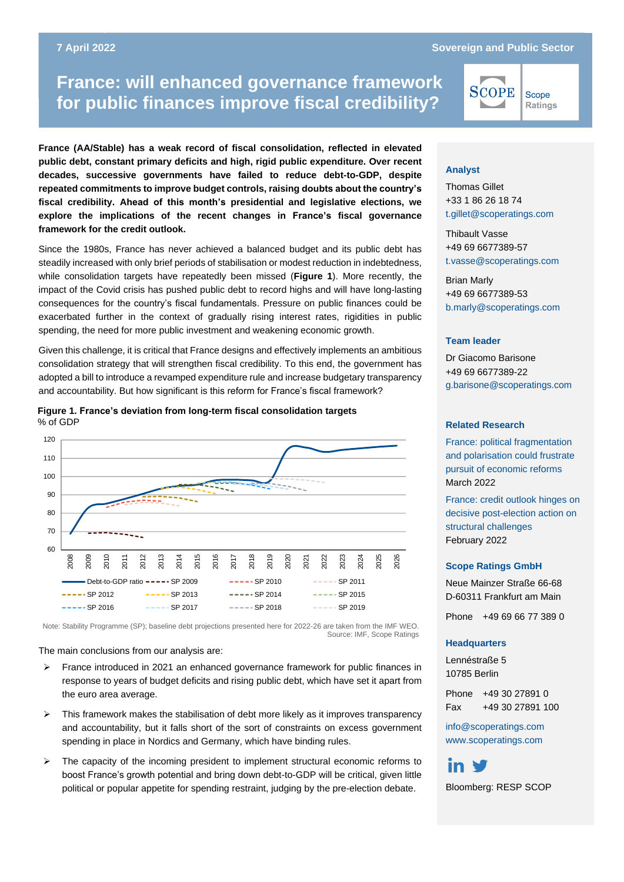#### **France: will enhanced governance framework for public finances 7 April 2022 Sovereign and Public Sector**

# **France: will enhanced governance framework for public finances improve fiscal credibility?**

**France (AA/Stable) has a weak record of fiscal consolidation, reflected in elevated public debt, constant primary deficits and high, rigid public expenditure. Over recent decades, successive governments have failed to reduce debt-to-GDP, despite repeated commitments to improve budget controls, raising doubts about the country's fiscal credibility. Ahead of this month's presidential and legislative elections, we explore the implications of the recent changes in France's fiscal governance framework for the credit outlook.**

Since the 1980s, France has never achieved a balanced budget and its public debt has steadily increased with only brief periods of stabilisation or modest reduction in indebtedness, while consolidation targets have repeatedly been missed (**Figure 1**). More recently, the impact of the Covid crisis has pushed public debt to record highs and will have long-lasting consequences for the country's fiscal fundamentals. Pressure on public finances could be exacerbated further in the context of gradually rising interest rates, rigidities in public spending, the need for more public investment and weakening economic growth.

Given this challenge, it is critical that France designs and effectively implements an ambitious consolidation strategy that will strengthen fiscal credibility. To this end, the government has adopted a bill to introduce a revamped expenditure rule and increase budgetary transparency and accountability. But how significant is this reform for France's fiscal framework?





Note: Stability Programme (SP); baseline debt projections presented here for 2022-26 are taken from the IMF WEO. Source: IMF, Scope Ratings

The main conclusions from our analysis are:

- $\triangleright$  France introduced in 2021 an enhanced governance framework for public finances in response to years of budget deficits and rising public debt, which have set it apart from the euro area average.
- $\triangleright$  This framework makes the stabilisation of debt more likely as it improves transparency and accountability, but it falls short of the sort of constraints on excess government spending in place in Nordics and Germany, which have binding rules.
- ➢ The capacity of the incoming president to implement structural economic reforms to boost France's growth potential and bring down debt-to-GDP will be critical, given little political or popular appetite for spending restraint, judging by the pre-election debate.

# SCOPE Scope

Ratings

#### **Analyst**

Thomas Gillet +33 1 86 26 18 74 [t.gillet@scoperatings.com](mailto:t.gillet@scoperatings.com)

Thibault Vasse +49 69 6677389-57 [t.vasse@scoperatings.com](mailto:t.vasse@scoperatings.com)

Brian Marly +49 69 6677389-53 [b.marly@scoperatings.com](mailto:b.marly@scoperatings.com)

#### **Team leader**

Dr Giacomo Barisone +49 69 6677389-22 [g.barisone@scoperatings.com](mailto:g.barisone@scoperatings.com)

#### **Related Research**

France: political fragmentation and polarisation could frustrate pursuit of economic reforms March 2022

[France: credit outlook hinges on](https://www.scopegroup.com/dam/jcr:e4cb0f19-fd1f-4114-a5df-b488158bab47/Scope%20Ratings_France)  [decisive post-election action on](https://www.scopegroup.com/dam/jcr:e4cb0f19-fd1f-4114-a5df-b488158bab47/Scope%20Ratings_France) [structural challenges](https://www.scopegroup.com/dam/jcr:e4cb0f19-fd1f-4114-a5df-b488158bab47/Scope%20Ratings_France) February 2022

#### **Scope Ratings GmbH**

Neue Mainzer Straße 66-68 D-60311 Frankfurt am Main

Phone +49 69 66 77 389 0

#### **Headquarters**

Lennéstraße 5 10785 Berlin

Phone +49 30 27891 0 Fax +49 30 27891 100

[info@scoperatings.com](mailto:info@scoperatings.com) [www.scoperatings.com](https://www.scoperatings.com/)



Bloomberg: RESP SCOP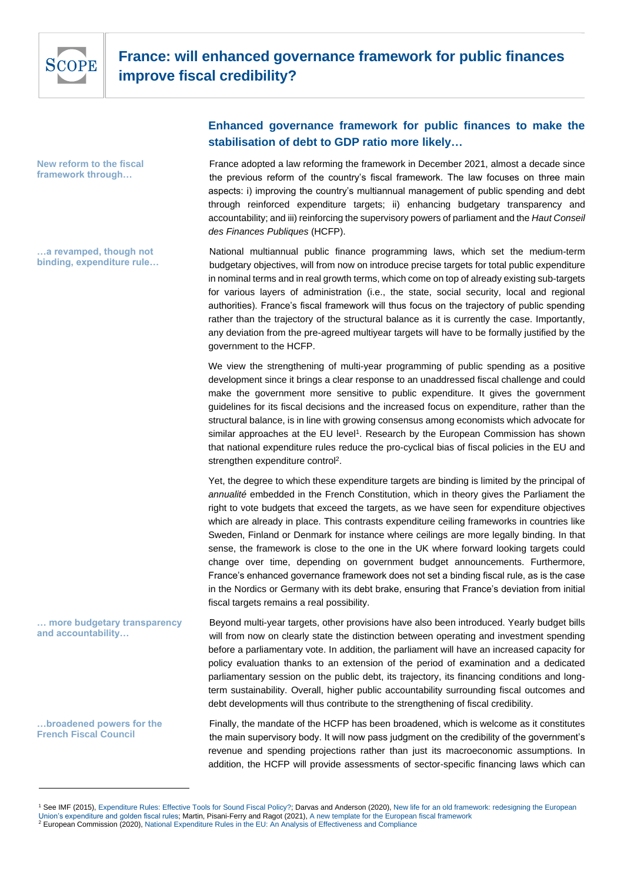

**New reform to the fiscal framework through…**

**…a revamped, though not binding, expenditure rule…**

**…broadened powers for the French Fiscal Council**

# **Enhanced governance framework for public finances to make the stabilisation of debt to GDP ratio more likely…**

France adopted a law reforming the framework in December 2021, almost a decade since the previous reform of the country's fiscal framework. The law focuses on three main aspects: i) improving the country's multiannual management of public spending and debt through reinforced expenditure targets; ii) enhancing budgetary transparency and accountability; and iii) reinforcing the supervisory powers of parliament and the *Haut Conseil des Finances Publiques* (HCFP).

National multiannual public finance programming laws, which set the medium-term budgetary objectives, will from now on introduce precise targets for total public expenditure in nominal terms and in real growth terms, which come on top of already existing sub-targets for various layers of administration (i.e., the state, social security, local and regional authorities). France's fiscal framework will thus focus on the trajectory of public spending rather than the trajectory of the structural balance as it is currently the case. Importantly, any deviation from the pre-agreed multiyear targets will have to be formally justified by the government to the HCFP.

We view the strengthening of multi-year programming of public spending as a positive development since it brings a clear response to an unaddressed fiscal challenge and could make the government more sensitive to public expenditure. It gives the government guidelines for its fiscal decisions and the increased focus on expenditure, rather than the structural balance, is in line with growing consensus among economists which advocate for similar approaches at the EU level<sup>1</sup>. Research by the European Commission has shown that national expenditure rules reduce the pro-cyclical bias of fiscal policies in the EU and strengthen expenditure control<sup>2</sup>.

Yet, the degree to which these expenditure targets are binding is limited by the principal of *annualité* embedded in the French Constitution, which in theory gives the Parliament the right to vote budgets that exceed the targets, as we have seen for expenditure objectives which are already in place. This contrasts expenditure ceiling frameworks in countries like Sweden, Finland or Denmark for instance where ceilings are more legally binding. In that sense, the framework is close to the one in the UK where forward looking targets could change over time, depending on government budget announcements. Furthermore, France's enhanced governance framework does not set a binding fiscal rule, as is the case in the Nordics or Germany with its debt brake, ensuring that France's deviation from initial fiscal targets remains a real possibility.

Beyond multi-year targets, other provisions have also been introduced. Yearly budget bills will from now on clearly state the distinction between operating and investment spending before a parliamentary vote. In addition, the parliament will have an increased capacity for policy evaluation thanks to an extension of the period of examination and a dedicated parliamentary session on the public debt, its trajectory, its financing conditions and longterm sustainability. Overall, higher public accountability surrounding fiscal outcomes and debt developments will thus contribute to the strengthening of fiscal credibility. **… more budgetary transparency and accountability…**

> Finally, the mandate of the HCFP has been broadened, which is welcome as it constitutes the main supervisory body. It will now pass judgment on the credibility of the government's revenue and spending projections rather than just its macroeconomic assumptions. In addition, the HCFP will provide assessments of sector-specific financing laws which can

<sup>&</sup>lt;sup>1</sup> See IMF (2015), [Expenditure Rules: Effective Tools for Sound Fiscal Policy?;](https://www.imf.org/external/pubs/ft/wp/2015/wp1529.pdf) Darvas and Anderson (2020), New life for an old framework: redesigning the European [Union's expenditure and golden fiscal rules;](file:///C:/Users/t.gillet/AppData/Local/Microsoft/Windows/INetCache/Content.Outlook/2AT77X7K/New%20life%20for%20an%20old%20framework:%20redesigning%20the%20European%20Union’s%20expenditure%20and%20golden%20fiscal%20rules) Martin, Pisani-Ferry and Ragot (2021)[, A new template for the European fiscal framework](https://voxeu.org/article/new-template-european-fiscal-framework)

<sup>&</sup>lt;sup>2</sup> European Commission (2020)[, National Expenditure Rules in the EU: An Analysis of Effectiveness and Compliance](https://ec.europa.eu/info/sites/default/files/economy-finance/dp124_en_national_expenditure.pdf)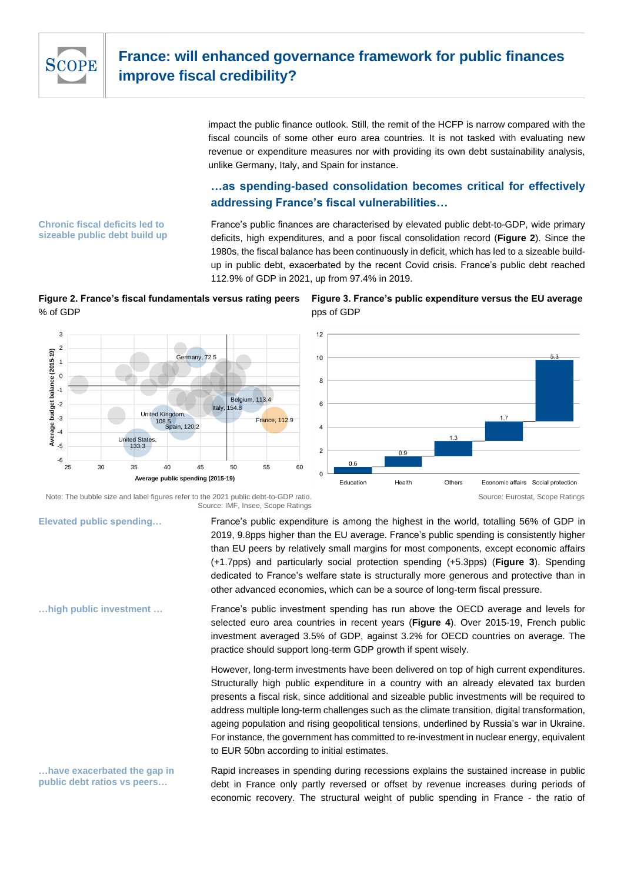

impact the public finance outlook. Still, the remit of the HCFP is narrow compared with the fiscal councils of some other euro area countries. It is not tasked with evaluating new revenue or expenditure measures nor with providing its own debt sustainability analysis, unlike Germany, Italy, and Spain for instance.

# **…as spending-based consolidation becomes critical for effectively addressing France's fiscal vulnerabilities…**

France's public finances are characterised by elevated public debt-to-GDP, wide primary deficits, high expenditures, and a poor fiscal consolidation record (**Figure 2**). Since the 1980s, the fiscal balance has been continuously in deficit, which has led to a sizeable buildup in public debt, exacerbated by the recent Covid crisis. France's public debt reached 112.9% of GDP in 2021, up from 97.4% in 2019.

# **Figure 2. France's fiscal fundamentals versus rating peers** % of GDP

Germany, 72.5





Note: The bubble size and label figures refer to the 2021 public debt-to-GDP ratio. Source: IMF, Insee, Scope Ratings

<u>ร</u><br>รักลin, 120.2

25 30 35 40 45 50 55 60

**Average public spending (2015-19)**

United Kingdom, 108.5

United States, 133.3

Belgium, 113.4

Italy, 154.8

France, 112.9

**Elevated public spending…**

 $-6$   $-25$ -5 -4 -3 -2 -1  $\mathbf{0}$ 1 2 3

**Average budget balance (2015-19)**

budget balance (2015-19)

France's public expenditure is among the highest in the world, totalling 56% of GDP in 2019, 9.8pps higher than the EU average. France's public spending is consistently higher than EU peers by relatively small margins for most components, except economic affairs (+1.7pps) and particularly social protection spending (+5.3pps) (**Figure 3**). Spending dedicated to France's welfare state is structurally more generous and protective than in other advanced economies, which can be a source of long-term fiscal pressure.

France's public investment spending has run above the OECD average and levels for selected euro area countries in recent years (**Figure 4**). Over 2015-19, French public investment averaged 3.5% of GDP, against 3.2% for OECD countries on average. The practice should support long-term GDP growth if spent wisely.

However, long-term investments have been delivered on top of high current expenditures. Structurally high public expenditure in a country with an already elevated tax burden presents a fiscal risk, since additional and sizeable public investments will be required to address multiple long-term challenges such as the climate transition, digital transformation, ageing population and rising geopolitical tensions, underlined by Russia's war in Ukraine. For instance, the government has committed to re-investment in nuclear energy, equivalent to EUR 50bn according to initial estimates.

Rapid increases in spending during recessions explains the sustained increase in public debt in France only partly reversed or offset by revenue increases during periods of economic recovery. The structural weight of public spending in France - the ratio of **…have exacerbated the gap in public debt ratios vs peers…**

**Chronic fiscal deficits led to sizeable public debt build up** 

**…high public investment …**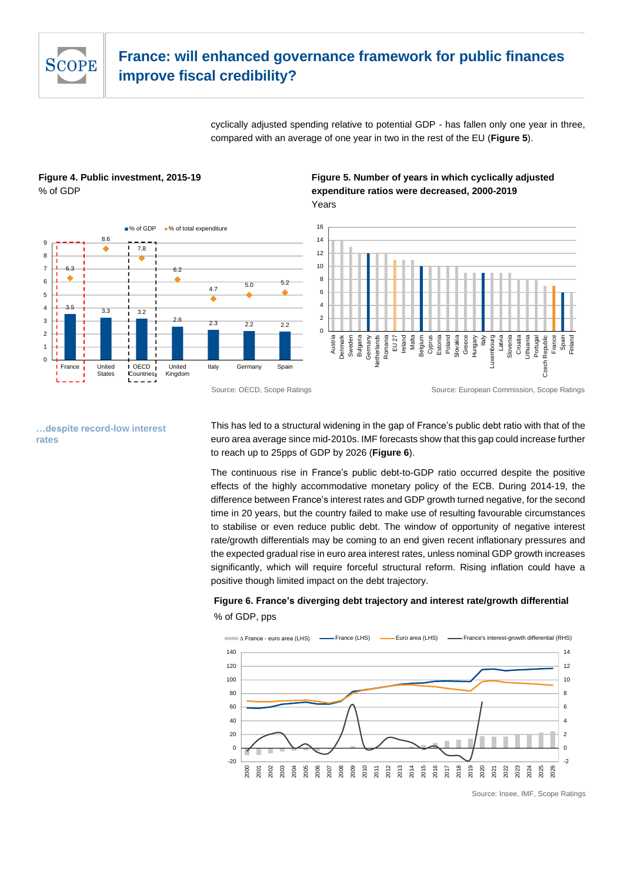

# **France: will enhanced governance framework for public finances improve fiscal credibility?**

cyclically adjusted spending relative to potential GDP - has fallen only one year in three, compared with an average of one year in two in the rest of the EU (**Figure 5**).

## **Figure 4. Public investment, 2015-19** % of GDP



## **Figure 5. Number of years in which cyclically adjusted expenditure ratios were decreased, 2000-2019** Years



**…despite record-low interest rates**

This has led to a structural widening in the gap of France's public debt ratio with that of the euro area average since mid-2010s. IMF forecasts show that this gap could increase further to reach up to 25pps of GDP by 2026 (**Figure 6**).

The continuous rise in France's public debt-to-GDP ratio occurred despite the positive effects of the highly accommodative monetary policy of the ECB. During 2014-19, the difference between France's interest rates and GDP growth turned negative, for the second time in 20 years, but the country failed to make use of resulting favourable circumstances to stabilise or even reduce public debt. The window of opportunity of negative interest rate/growth differentials may be coming to an end given recent inflationary pressures and the expected gradual rise in euro area interest rates, unless nominal GDP growth increases significantly, which will require forceful structural reform. Rising inflation could have a positive though limited impact on the debt trajectory.

# **Figure 6. France's diverging debt trajectory and interest rate/growth differential**  % of GDP, pps



Source: OECD, Scope Ratings Source: European Commission, Scope Ratings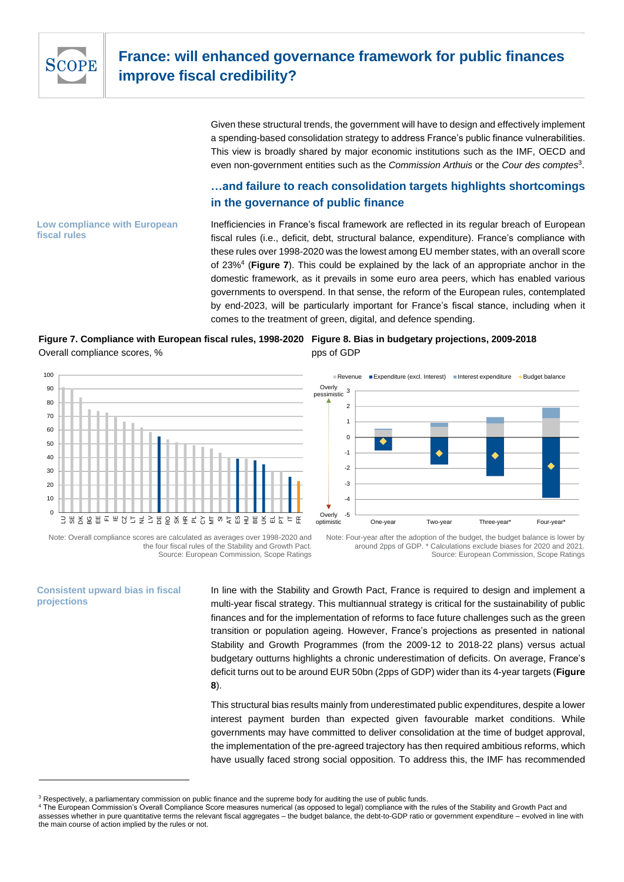

Given these structural trends, the government will have to design and effectively implement a spending-based consolidation strategy to address France's public finance vulnerabilities. This view is broadly shared by major economic institutions such as the IMF, OECD and even non-government entities such as the *Commission Arthuis* or the *Cour des comptes*<sup>3</sup> .

# **…and failure to reach consolidation targets highlights shortcomings in the governance of public finance**

#### **Low compliance with European fiscal rules**

Inefficiencies in France's fiscal framework are reflected in its regular breach of European fiscal rules (i.e., deficit, debt, structural balance, expenditure). France's compliance with these rules over 1998-2020 was the lowest among EU member states, with an overall score of 23%<sup>4</sup> (**Figure 7**). This could be explained by the lack of an appropriate anchor in the domestic framework, as it prevails in some euro area peers, which has enabled various governments to overspend. In that sense, the reform of the European rules, contemplated by end-2023, will be particularly important for France's fiscal stance, including when it comes to the treatment of green, digital, and defence spending.

# **Figure 7. Compliance with European fiscal rules, 1998-2020 Figure 8. Bias in budgetary projections, 2009-2018** Overall compliance scores, %



# pps of GDP



Note: Overall compliance scores are calculated as averages over 1998-2020 and the four fiscal rules of the Stability and Growth Pact. Source: European Commission, Scope Ratings

Note: Four-year after the adoption of the budget, the budget balance is lower by around 2pps of GDP. \* Calculations exclude biases for 2020 and 2021. Source: European Commission, Scope Ratings

#### **Consistent upward bias in fiscal projections**

In line with the Stability and Growth Pact, France is required to design and implement a multi-year fiscal strategy. This multiannual strategy is critical for the sustainability of public finances and for the implementation of reforms to face future challenges such as the green transition or population ageing. However, France's projections as presented in national Stability and Growth Programmes (from the 2009-12 to 2018-22 plans) versus actual budgetary outturns highlights a chronic underestimation of deficits. On average, France's deficit turns out to be around EUR 50bn (2pps of GDP) wider than its 4-year targets (**Figure 8**).

This structural bias results mainly from underestimated public expenditures, despite a lower interest payment burden than expected given favourable market conditions. While governments may have committed to deliver consolidation at the time of budget approval, the implementation of the pre-agreed trajectory has then required ambitious reforms, which have usually faced strong social opposition. To address this, the IMF has recommended

ectively, a parliamentary commission on public finance and the supreme body for auditing the use of public funds.

<sup>4</sup> The European Commission's Overall Compliance Score measures numerical (as opposed to legal) compliance with the rules of the Stability and Growth Pact and assesses whether in pure quantitative terms the relevant fiscal aggregates – the budget balance, the debt-to-GDP ratio or government expenditure – evolved in line with the main course of action implied by the rules or not.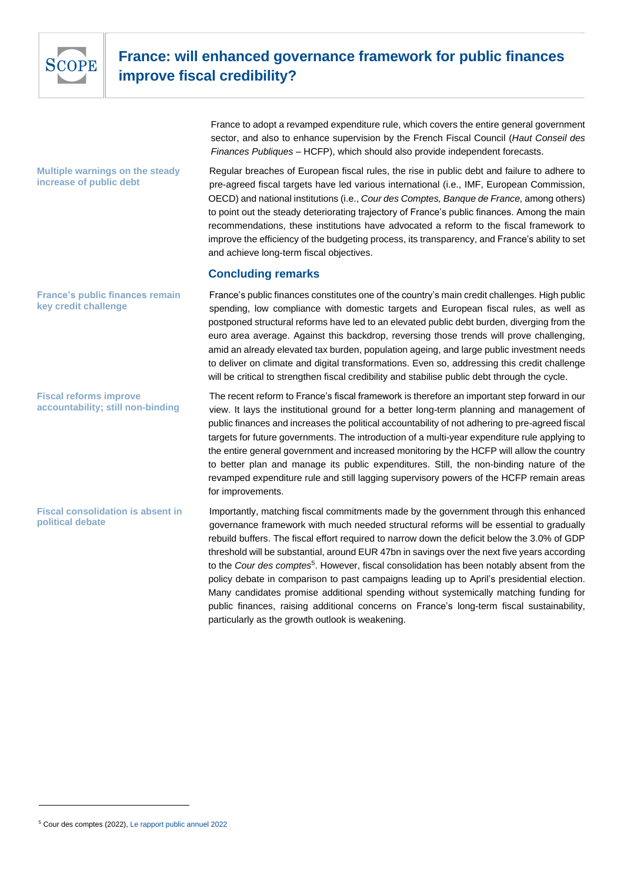

# **France: will enhanced governance framework for public finances improve fiscal credibility?**

France to adopt a revamped expenditure rule, which covers the entire general government sector, and also to enhance supervision by the French Fiscal Council (*Haut Conseil des Finances Publiques* – HCFP), which should also provide independent forecasts.

#### **Multiple warnings on the steady increase of public debt**

Regular breaches of European fiscal rules, the rise in public debt and failure to adhere to pre-agreed fiscal targets have led various international (i.e., IMF, European Commission, OECD) and national institutions (i.e., *Cour des Comptes, Banque de France,* among others) to point out the steady deteriorating trajectory of France's public finances. Among the main recommendations, these institutions have advocated a reform to the fiscal framework to improve the efficiency of the budgeting process, its transparency, and France's ability to set and achieve long-term fiscal objectives.

## **Concluding remarks**

France's public finances constitutes one of the country's main credit challenges. High public spending, low compliance with domestic targets and European fiscal rules, as well as postponed structural reforms have led to an elevated public debt burden, diverging from the euro area average. Against this backdrop, reversing those trends will prove challenging, amid an already elevated tax burden, population ageing, and large public investment needs to deliver on climate and digital transformations. Even so, addressing this credit challenge will be critical to strengthen fiscal credibility and stabilise public debt through the cycle.

**France's public finances remain key credit challenge**

**Fiscal reforms improve accountability; still non-binding**

**Fiscal consolidation is absent in political debate**

The recent reform to France's fiscal framework is therefore an important step forward in our view. It lays the institutional ground for a better long-term planning and management of public finances and increases the political accountability of not adhering to pre-agreed fiscal targets for future governments. The introduction of a multi-year expenditure rule applying to the entire general government and increased monitoring by the HCFP will allow the country to better plan and manage its public expenditures. Still, the non-binding nature of the revamped expenditure rule and still lagging supervisory powers of the HCFP remain areas for improvements.

Importantly, matching fiscal commitments made by the government through this enhanced governance framework with much needed structural reforms will be essential to gradually rebuild buffers. The fiscal effort required to narrow down the deficit below the 3.0% of GDP threshold will be substantial, around EUR 47bn in savings over the next five years according to the *Cour des comptes*<sup>5</sup> . However, fiscal consolidation has been notably absent from the policy debate in comparison to past campaigns leading up to April's presidential election. Many candidates promise additional spending without systemically matching funding for public finances, raising additional concerns on France's long-term fiscal sustainability, particularly as the growth outlook is weakening.

<sup>5</sup> Cour des comptes (2022)[, Le rapport public annuel 2022](https://www.ccomptes.fr/fr/publications/le-rapport-public-annuel-2022)